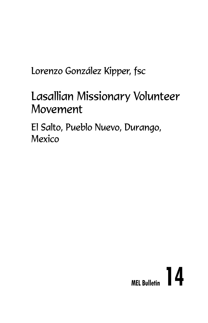Lorenzo González Kipper, fsc

# Lasallian Missionary Volunteer Movement

El Salto, Pueblo Nuevo, Durango, Mexico

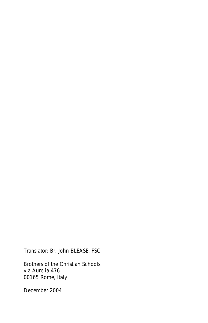Translator: Br. John BLEASE, FSC

Brothers of the Christian Schools via Aurelia 476 00165 Rome, Italy

December 2004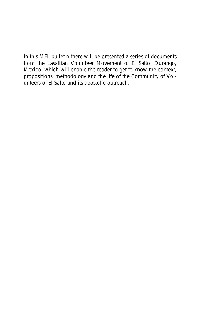In this MEL bulletin there will be presented a series of documents from the Lasallian Volunteer Movement of El Salto, Durango, Mexico, which will enable the reader to get to know the context, propositions, methodology and the life of the Community of Volunteers of El Salto and its apostolic outreach.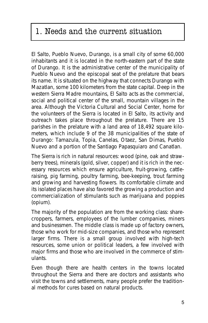# 1. Needs and the current situation

El Salto, Pueblo Nuevo, Durango, is a small city of some 60,000 inhabitants and it is located in the north-eastern part of the state of Durango. It is the administrative center of the municipality of Pueblo Nuevo and the episcopal seat of the prelature that bears its name. It is situated on the highway that connects Durango with Mazatlan, some 100 kilometers from the state capital. Deep in the western Sierra Madre mountains, El Salto acts as the commercial, social and political center of the small, mountain villages in the area. Although the Victoria Cultural and Social Center, home for the volunteers of the Sierra is located in El Salto, its activity and outreach takes place throughout the prelature. There are 15 parishes in the prelature with a land area of 18,492 square kilometers, which include 9 of the 38 municipalities of the state of Durango: Tamazula, Topia, Canelas, Otaez, San Dimas, Pueblo Nuevo and a portion of the Santiago Papasquiaro and Canatlan.

The Sierra is rich in natural resources: wood (pine, oak and strawberry trees), minerals (gold, silver, copper) and it is rich in the necessary resources which ensure agriculture, fruit-growing, cattleraising, pig farming, poultry farming, bee-keeping, trout farming and growing and harvesting flowers. Its comfortable climate and its isolated places have also favored the growing a production and commercialization of stimulants such as marijuana and poppies (opium).

The majority of the population are from the working class: sharecroppers, farmers, employees of the lumber companies, miners and businessmen. The middle class is made up of factory owners, those who work for mid-size companies, and those who represent larger firms. There is a small group involved with high-tech resources, some union or political leaders, a few involved with major firms and those who are involved in the commerce of stimulants.

Even though there are health centers in the towns located throughout the Sierra and there are doctors and assistants who visit the towns and settlements, many people prefer the traditional methods for cures based on natural products.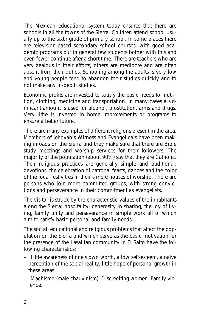The Mexican educational system today ensures that there are schools in all the towns of the Sierra. Children attend school usually up to the sixth grade of primary school. In some places there are television-based secondary school courses, with good academic programs but in general few students bother with this and even fewer continue after a short time. There are teachers who are very zealous in their efforts, others are mediocre and are often absent from their duties. Schooling among the adults is very low and young people tend to abandon their studies quickly and to not make any in-depth studies.

Economic profits are invested to satisfy the basic needs for nutrition, clothing, medicine and transportation. In many cases a significant amount is used for alcohol, prostitution, arms and drugs. Very little is invested in home improvements or programs to ensure a better future.

There are many examples of different religions present in the area. Members of Jehovah's Witness and Evangelicals have been making inroads on the Sierra and they make sure that there are Bible study meetings and worship services for their followers. The majority of the population (about 90%) say that they are Catholic. Their religious practices are generally simple and traditional: devotions, the celebration of patronal feasts, dances and the color of the local festivities in their simple houses of worship. There are persons who join more committed groups, with strong convictions and perseverance in their commitment as evangelists.

The visitor is struck by the characteristic values of the inhabitants along the Sierra: hospitality, generosity in sharing, the joy of living, family unity and perseverance in simple work all of which aim to satisfy basic personal and family needs.

The social, educational and religious problems that affect the population on the Sierra and which serve as the basic motivation for the presence of the Lasallian community in El Salto have the following characteristics:

- Little awareness of one's own worth, a low self-esteem, a naive perception of the social reality, little hope of personal growth in these areas.
- Machismo (male chauvinism). Discrediting women. Family violence.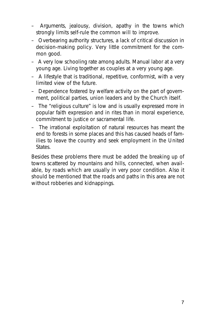- Arguments, jealousy, division, apathy in the towns which strongly limits self-rule the common will to improve.
- Overbearing authority structures, a lack of critical discussion in decision-making policy. Very little commitment for the common good.
- A very low schooling rate among adults. Manual labor at a very young age. Living together as couples at a very young age.
- A lifestyle that is traditional, repetitive, conformist, with a very limited view of the future.
- Dependence fostered by welfare activity on the part of government, political parties, union leaders and by the Church itself.
- The "religious culture" is low and is usually expressed more in popular faith expression and in rites than in moral experience, commitment to justice or sacramental life.
- The irrational exploitation of natural resources has meant the end to forests in some places and this has caused heads of families to leave the country and seek employment in the United **States**

Besides these problems there must be added the breaking up of towns scattered by mountains and hills, connected, when available, by roads which are usually in very poor condition. Also it should be mentioned that the roads and paths in this area are not without robberies and kidnappings.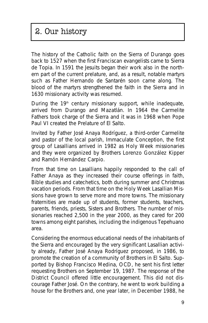# 2. Our history

The history of the Catholic faith on the Sierra of Durango goes back to 1527 when the first Franciscan evangelists came to Sierra de Topia. In 1591 the Jesuits began their work also in the northern part of the current prelature, and, as a result, notable martyrs such as Father Hernando de Santarén soon came along. The blood of the martyrs strengthened the faith in the Sierra and in 1630 missionary activity was resumed.

During the  $19<sup>th</sup>$  century missionary support, while inadequate, arrived from Durango and Mazatlán. In 1964 the Carmelite Fathers took charge of the Sierra and it was in 1968 when Pope Paul VI created the Prelature of El Salto.

Invited by Father José Anaya Rodríguez, a third-order Carmelite and pastor of the local parish, Immaculate Conception, the first group of Lasallians arrived in 1982 as Holy Week missionaries and they were organized by Brothers Lorenzo González Kipper and Ramón Hernández Carpio.

From that time on Lasallians happily responded to the call of Father Anaya as they increased their course offerings in faith, Bible studies and catechetics, both during summer and Christmas vacation periods. From that time on the Holy Week Lasallian Missions have grown to serve more and more towns. The missionary fraternities are made up of students, former students, teachers, parents, friends, priests, Sisters and Brothers. The number of missionaries reached 2,500 in the year 2000, as they cared for 200 towns among eight parishes, including the indigenous Tepehuano area.

Considering the enormous educational needs of the inhabitants of the Sierra and encouraged by the very significant Lasallian activity already, Father José Anaya Rodríguez proposed, in 1986, to promote the creation of a community of Brothers in El Salto. Supported by Bishop Francisco Medina, OCD, he sent his first letter requesting Brothers on September 19, 1987. The response of the District Council offered little encouragement. This did not discourage Father José. On the contrary, he went to work building a house for the Brothers and, one year later, in December 1988, he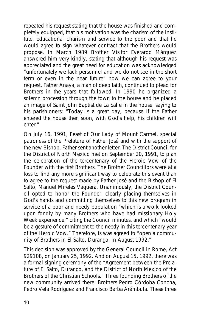repeated his request stating that the house was finished and completely equipped, that his motivation was the charism of the Institute, educational charism and service to the poor and that he would agree to sign whatever contract that the Brothers would propose. In March 1989 Brother Visitor Everardo Márquez answered him very kindly, stating that although his request was appreciated and the great need for education was acknowledged "unfortunately we lack personnel and we do not see in the short term or even in the near future" how we can agree to your request. Father Anaya, a man of deep faith, continued to plead for Brothers in the years that followed. In 1990 he organized a solemn procession through the town to the house and he placed an image of Saint John Baptist de La Salle in the house, saying to his parishioners: "Today is a great day, because if the Father entered the house then soon, with God's help, his children will enter."

On July 16, 1991, Feast of Our Lady of Mount Carmel, special patroness of the Prelature of Father José and with the support of the new Bishop, Father sent another letter. The District Council for the District of North Mexico met on September 20, 1991, to plan the celebration of the tercentenary of the Heroic Vow of the Founder with the first Brothers. The Brother Councillors were at a loss to find any more significant way to celebrate this event than to agree to the request made by Father José and the Bishop of El Salto, Manuel Mireles Vaquera. Unanimously, the District Council opted to honor the Founder, clearly placing themselves in God's hands and committing themselves to this new program in service of a poor and needy population "which is a work looked upon fondly by many Brothers who have had missionary Holy Week experience," citing the Council minutes, and which "would be a gesture of commitment to the needy in this tercentenary year of the Heroic Vow." Therefore, is was agreed to "open a community of Brothers in El Salto, Durango, in August 1992."

This decision was approved by the General Council in Rome, Act 929108, on January 25, 1992. And on August 15, 1992, there was a formal signing ceremony of the "Agreement between the Prelature of El Salto, Durango, and the District of North Mexico of the Brothers of the Christian Schools." Three founding Brothers of the new community arrived there: Brothers Pedro Córdoba Concha, Pedro Vela Rodríguez and Francisco Barba Arámbula. These three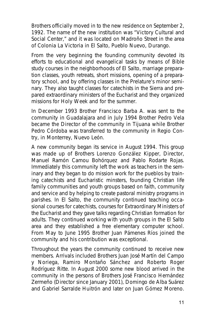Brothers officially moved in to the new residence on September 2, 1992. The name of the new institution was "Victory Cultural and Social Center," and it was located on Madroño Street in the area of Colonia La Victoria in El Salto, Pueblo Nuevo, Durango.

From the very beginning the founding community devoted its efforts to educational and evangelical tasks by means of Bible study courses in the neighborhoods of El Salto, marriage preparation classes, youth retreats, short missions, opening of a preparatory school, and by offering classes in the Prelature's minor seminary. They also taught classes for catechists in the Sierra and prepared extraordinary ministers of the Eucharist and they organized missions for Holy Week and for the summer.

In December 1993 Brother Francisco Barba A. was sent to the community in Guadalajara and in July 1994 Brother Pedro Vela became the Director of the community in Tijuana while Brother Pedro Córdoba was transferred to the community in Regio Contry, in Monterrey, Nuevo León.

A new community began its service in August 1994. This group was made up of Brothers Lorenzo González Kipper, Director, Manuel Ramón Camou Bohórquez and Pablo Rodarte Rojas. Immediately this community left the work as teachers in the seminary and they began to do mission work for the pueblos by training catechists and Eucharistic minsters, founding Christian life family communities and youth groups based on faith, community and service and by helping to create pastoral ministry programs in parishes. In El Salto, the community continued teaching occasional courses for catechists, courses for Extraordinary Ministers of the Eucharist and they gave talks regarding Christian formation for adults. They continued working with youth groups in the El Salto area and they established a free elementary computer school. From May to June 1995 Brother Juan Pámenes Ríos joined the community and his contribution was exceptional.

Throughout the years the community continued to receive new members. Arrivals included Brothers Juan José Martín del Campo y Noriega, Ramiro Montaño Sánchez and Roberto Roger Rodríguez Ritte. In August 2000 some new blood arrived in the community in the persons of Brothers José Francisco Hernández Zermeño (Director since January 2001), Domingo de Alba Suárez and Gabriel Sarralde Huitrón and later on Juan Gómez Moreno.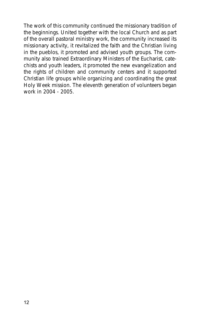The work of this community continued the missionary tradition of the beginnings. United together with the local Church and as part of the overall pastoral ministry work, the community increased its missionary activity, it revitalized the faith and the Christian living in the pueblos, it promoted and advised youth groups. The community also trained Extraordinary Ministers of the Eucharist, catechists and youth leaders, it promoted the new evangelization and the rights of children and community centers and it supported Christian life groups while organizing and coordinating the great Holy Week mission. The eleventh generation of volunteers began work in 2004 - 2005.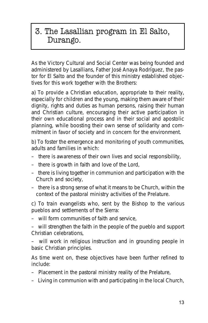## 3. The Lasallian program in El Salto, Durango.

As the Victory Cultural and Social Center was being founded and administered by Lasallians, Father José Anaya Rodríguez, the pastor for El Salto and the founder of this ministry established objectives for this work together with the Brothers:

a) To provide a Christian education, appropriate to their reality, especially for children and the young, making them aware of their dignity, rights and duties as human persons, raising their human and Christian culture, encouraging their active participation in their own educational process and in their social and apostolic planning, while boosting their own sense of solidarity and commitment in favor of society and in concern for the environment.

b) To foster the emergence and monitoring of youth communities, adults and families in which:

- there is awareness of their own lives and social responsibility,
- there is growth in faith and love of the Lord,
- there is living together in communion and participation with the Church and society,
- there is a strong sense of what it means to be Church, within the context of the pastoral ministry activities of the Prelature.

c) To train evangelists who, sent by the Bishop to the various pueblos and settlements of the Sierra:

– will form communities of faith and service,

– will strengthen the faith in the people of the pueblo and support Christian celebrations,

– will work in religious instruction and in grounding people in basic Christian principles.

As time went on, these objectives have been further refined to include:

- Placement in the pastoral ministry reality of the Prelature,
- Living in communion with and participating in the local Church,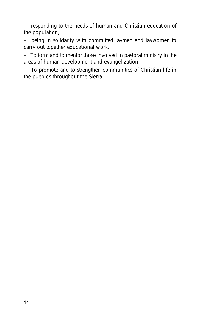– responding to the needs of human and Christian education of the population,

– being in solidarity with committed laymen and laywomen to carry out together educational work.

– To form and to mentor those involved in pastoral ministry in the areas of human development and evangelization.

– To promote and to strengthen communities of Christian life in the pueblos throughout the Sierra.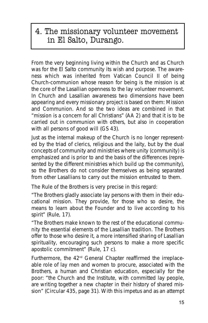### 4. The missionary volunteer movement in El Salto, Durango.

From the very beginning living within the Church and as Church was for the El Salto community its wish and purpose. The awareness which was inherited from Vatican Council II of being Church-communion whose reason for being is the mission is at the core of the Lasallian openness to the lay volunteer movement. In Church and Lasallian awareness two dimensions have been appearing and every missionary project is based on them: Mission and Communion. And so the two ideas are combined in that *"mission is a concern for all Christians"* (AA 2) and that it is to be carried out in *communion* with others, but also in *cooperation* with all persons of good will (GS 43).

Just as the internal makeup of the Church is no longer represented by the triad of clerics, religious and the laity, but by the dual concepts of *community and ministries* where unity (community) is emphasized and is prior to and the basis of the differences (represented by the different ministries which build up the community), so the Brothers do not consider themselves as being separated from other Lasallians to carry out the mission entrusted to them.

The *Rule* of the Brothers is very precise in this regard:

"The Brothers gladly associate lay persons with them in their educational mission. They provide, for those who so desire, the means to learn about the Founder and to live according to his spirit" (*Rule*, 17).

"The Brothers make known to the rest of the educational community the essential elements of the Lasallian tradition. The Brothers offer to those who desire it, a more intensified sharing of Lasallian spirituality, encouraging such persons to make a more specific apostolic commitment" (*Rule*, 17 c).

Furthermore, the 42<sup>nd</sup> General Chapter reaffirmed the irreplaceable role of lay men and women to procure, associated with the Brothers, a human and Christian education, especially for the poor: "the Church and the Institute, with committed lay people, are writing together a new chapter in their history of shared mission" (Circular 435, page 31). With this impetus and as an attempt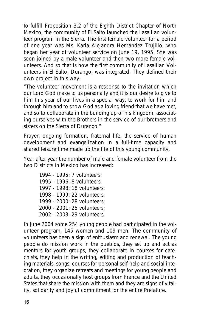to fulfill Proposition 3.2 of the Eighth District Chapter of North Mexico, the community of El Salto launched the Lasallian volunteer program in the Sierra. The first female volunteer for a period of one year was Ms. Karla Alejandra Hernández Trujillo, who began her year of volunteer service on June 19, 1995. She was soon joined by a male volunteer and then two more female volunteers. And so that is how the first community of Lasallian Volunteers in El Salto, Durango, was integrated. They defined their own project in this way:

"The volunteer movement is a response to the invitation which our Lord God make to us personally and it is our desire to give to him this year of our lives in a special way, to work for him and through him and to show God as a loving friend that we have met, and so to collaborate in the building up of his kingdom, associating ourselves with the Brothers in the service of our brothers and sisters on the Sierra of Durango."

Prayer, ongoing formation, fraternal life, the service of human development and evangelization in a full-time capacity and shared leisure time made up the life of this young community.

Year after year the number of male and female volunteer from the two Districts in Mexico has increased:

1994 - 1995: 7 volunteers; 1995 - 1996: 8 volunteers; 1997 - 1998: 18 volunteers; 1998 - 1999: 22 volunteers; 1999 - 2000: 28 volunteers; 2000 - 2001: 25 volunteers; 2002 - 2003: 29 volunteers.

In June 2004 some 254 young people had participated in the volunteer program, 145 women and 109 men. The community of volunteers has been a sign of enthusiasm and renewal. The young people do mission work in the pueblos, they set up and act as mentors for youth groups, they collaborate in courses for catechists, they help in the writing, editing and production of teaching materials, songs, courses for personal self-help and social integration, they organize retreats and meetings for young people and adults, they occasionally host groups from France and the United States that share the mission with them and they are signs of vitality, solidarity and joyful commitment for the entire Prelature.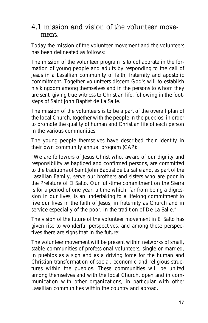#### 4.1 mission and vision of the volunteer movement.

Today the mission of the volunteer movement and the volunteers has been delineated as follows:

The mission of the volunteer program is to collaborate in the formation of young people and adults by responding to the call of Jesus in a Lasallian community of faith, fraternity and apostolic commitment. Together volunteers discern God's will to establish his kingdom among themselves and in the persons to whom they are sent, giving true witness to Christian life, following in the footsteps of Saint John Baptist de La Salle.

The mission of the volunteers is to be a part of the overall plan of the local Church, together with the people in the pueblos, in order to promote the quality of human and Christian life of each person in the various communities.

The young people themselves have described their identity in their own community annual program (CAP):

"We are followers of Jesus Christ who, aware of our dignity and responsibility as baptized and confirmed persons, are committed to the traditions of Saint John Baptist de La Salle and, as part of the Lasallian Family, serve our brothers and sisters who are poor in the Prelature of El Salto. Our full-time commitment on the Sierra is for a period of one year, a time which, far from being a digression in our lives, is an undertaking to a lifelong commitment to live our lives in the faith of Jesus, in fraternity as Church and in service especially of the poor, in the tradition of De La Salle."

The vision of the future of the volunteer movement in El Salto has given rise to wonderful perspectives, and among these perspectives there are signs that in the future:

The volunteer movement will be present within networks of small, stable communities of professional volunteers, single or married, in pueblos as a sign and as a driving force for the human and Christian transformation of social, economic and religious structures within the pueblos. These communities will be united among themselves and with the local Church, open and in communication with other organizations, in particular with other Lasallian communities within the country and abroad.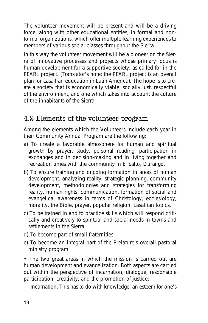The volunteer movement will be present and will be a driving force, along with other educational entities, in formal and nonformal organizations, which offer multiple learning experiences to members of various social classes throughout the Sierra.

In this way the volunteer movement will be a pioneer on the Sierra of innovative processes and projects whose primary focus is human development for a supportive society, as called for in the PEARL project. *(Translator's note: the PEARL project is an overall plan for Lasallian education in Latin America)*. The hope is to create a society that is economically viable, socially just, respectful of the environment, and one which takes into account the culture of the inhabitants of the Sierra.

### 4.2 Elements of the volunteer program

Among the elements which the Volunteers include each year in their Community Annual Program are the following:

- a) To create a favorable atmosphere for human and spiritual growth by prayer, study, personal reading, participation in exchanges and in decision-making and in living together and recreation times with the community in El Salto, Durango.
- b) To ensure training and ongoing formation in areas of human development: analyzing reality, strategic planning, community development, methodologies and strategies for transforming reality, human rights, communication, formation of social and evangelical awareness in terms of Christology, ecclesiology, morality, the Bible, prayer, popular religion, Lasallian topics.
- c) To be trained in and to practice skills which will respond critically and creatively to spiritual and social needs in towns and settlements in the Sierra.
- d) To become part of small fraternities.
- e) To become an integral part of the Prelature's overall pastoral ministry program.

• The two great areas in which the mission is carried out are human development and evangelization. Both aspects are carried out within the perspective of incarnation, dialogue, responsible participation, creativity, and the promotion of justice:

– Incarnation: This has to do with knowledge, an esteem for one's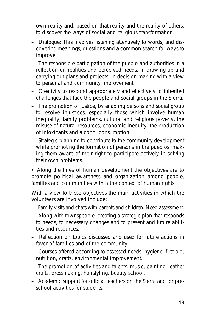own reality and, based on that reality and the reality of others, to discover the ways of social and religious transformation.

- Dialogue: This involves listening attentively to words, and discovering meanings, questions and a common search for ways to improve.
- The responsible participation of the pueblo and authorities in a reflection on realities and perceived needs, in drawing up and carrying out plans and projects, in decision making with a view to personal and community improvement.
- Creativity to respond appropriately and effectively to inherited challenges that face the people and social groups in the Sierra.
- The promotion of justice, by enabling persons and social group to resolve injustices, especially those which involve human inequality, family problems, cultural and religious poverty, the misuse of natural resources, economic inequity, the production of intoxicants and alcohol consumption.
- Strategic planning to contribute to the community development while promoting the formation of persons in the pueblos, making them aware of their right to participate actively in solving their own problems.

• Along the lines of human development the objectives are to promote political awareness and organization among people, families and communities within the context of human rights.

With a view to these objectives the main activities in which the volunteers are involved include:

- Family visits and chats with parents and children. Need assessment.
- Along with townspeople, creating a strategic plan that responds to needs, to necessary changes and to present and future abilities and resources.
- Reflection on topics discussed and used for future actions in favor of families and of the community.
- Courses offered according to assessed needs: hygiene, first aid, nutrition, crafts, environmental improvement.
- The promotion of activities and talents: music, painting, leather crafts, dressmaking, hairstyling, beauty school.
- Academic support for official teachers on the Sierra and for preschool activities for students.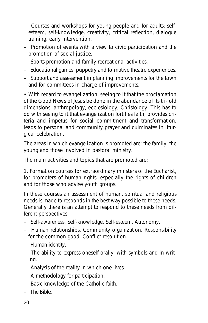- Courses and workshops for young people and for adults: selfesteem, self-knowledge, creativity, critical reflection, dialogue training, early intervention.
- Promotion of events with a view to civic participation and the promotion of social justice.
- Sports promotion and family recreational activities.
- Educational games, puppetry and formative theatre experiences.
- Support and assessment in planning improvements for the town and for committees in charge of improvements.

• With regard to evangelization, seeing to it that the proclamation of the Good News of Jesus be done in the abundance of its tri-fold dimensions: anthropology, ecclesiology, Christology. This has to do with seeing to it that evangelization fortifies faith, provides criteria and impetus for social commitment and transformation, leads to personal and community prayer and culminates in liturgical celebration.

The areas in which evangelization is promoted are: the family, the young and those involved in pastoral ministry.

The main activities and topics that are promoted are:

1. **Formation courses for extraordinary minsters of the Eucharist**, for promoters of human rights, especially the rights of children and for those who advise youth groups.

In these courses an assessment of human, spiritual and religious needs is made to responds in the best way possible to these needs. Generally there is an attempt to respond to these needs from different perspectives:

- Self-awareness. Self-knowledge. Self-esteem. Autonomy.
- Human relationships. Community organization. Responsibility for the common good. Conflict resolution.
- Human identity.
- The ability to express oneself orally, with symbols and in writing.
- Analysis of the reality in which one lives.
- A methodology for participation.
- Basic knowledge of the Catholic faith.
- The Bible.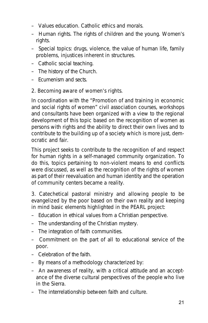- Values education. Catholic ethics and morals.
- Human rights. The rights of children and the young. Women's rights.
- Special topics: drugs, violence, the value of human life, family problems, injustices inherent in structures.
- Catholic social teaching.
- The history of the Church.
- Ecumenism and sects.

#### **2. Becoming aware of women's rights.**

In coordination with the "Promotion of and training in economic and social rights of women" civil association courses, workshops and consultants have been organized with a view to the regional development of this topic based on the recognition of women as persons with rights and the ability to direct their own lives and to contribute to the building up of a society which is more just, democratic and fair.

This project seeks to contribute to the recognition of and respect for human rights in a self-managed community organization. To do this, topics pertaining to non-violent means to end conflicts were discussed, as well as the recognition of the rights of women as part of their reevaluation and human identity and the operation of community centers became a reality.

3. **Catechetical pastoral ministry** and allowing people to be evangelized by the poor based on their own reality and keeping in mind basic elements highlighted in the PEARL project:

- Education in ethical values from a Christian perspective.
- The understanding of the Christian mystery.
- The integration of faith communities.
- Commitment on the part of all to educational service of the poor.
- Celebration of the faith.
- By means of a methodology characterized by:
- An awareness of reality, with a critical attitude and an acceptance of the diverse cultural perspectives of the people who live in the Sierra.
- The interrelationship between faith and culture.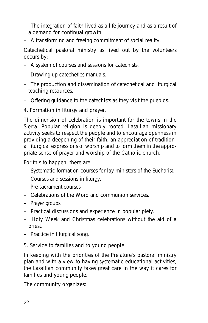- The integration of faith lived as a life journey and as a result of a demand for continual growth.
- A transforming and freeing commitment of social reality.

Catechetical pastoral ministry as lived out by the volunteers occurs by:

- A system of courses and sessions for catechists.
- Drawing up catechetics manuals.
- The production and dissemination of catechetical and liturgical teaching resources.
- Offering guidance to the catechists as they visit the pueblos.

#### 4. **Formation in liturgy and prayer.**

The dimension of celebration is important for the towns in the Sierra. Popular religion is deeply rooted. Lasallian missionary activity seeks to respect the people and to encourage openness in providing a deepening of their faith, an appreciation of traditional liturgical expressions of worship and to form them in the appropriate sense of prayer and worship of the Catholic church.

For this to happen, there are:

- Systematic formation courses for lay ministers of the Eucharist.
- Courses and sessions in liturgy.
- Pre-sacrament courses.
- Celebrations of the Word and communion services.
- Prayer groups.
- Practical discussions and experience in popular piety.
- Holy Week and Christmas celebrations without the aid of a priest.
- Practice in liturgical song.

#### 5. **Service to families and to young people:**

In keeping with the priorities of the Prelature's pastoral ministry plan and with a view to having systematic educational activities, the Lasallian community takes great care in the way it cares for families and young people.

The community organizes: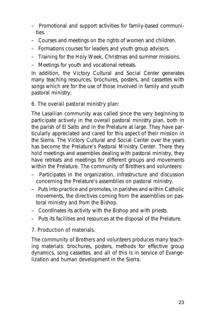- Promotional and support activities for family-based communities.
- Courses and meetings on the rights of women and children.
- Formations courses for leaders and youth group advisors.
- Training for the Holy Week, Christmas and summer missions.
- Meetings for youth and vocational retreats.

In addition, the Victory Cultural and Social Center generates many teaching resources, brochures, posters, and cassettes with songs which are for the use of those involved in family and youth pastoral ministry.

#### 6. **The overall pastoral ministry plan:**

The Lasallian community was called since the very beginning to participate actively in the overall pastoral ministry plan, both in the parish of El Salto and in the Prelature at large. They have particularly appreciated and cared for this aspect of their mission in the Sierra. The Victory Cultural and Social Center over the years has become the Prelature's Pastoral Ministry Center. There they hold meetings and assembles dealing with pastoral ministry, they have retreats and meetings for different groups and movements within the Prelature. The community of Brothers and volunteers:

- Participates in the organization, infrastructure and discussion concerning the Prelature's assemblies on pastoral ministry.
- Puts into practice and promotes, in parishes and within Catholic movements, the directives coming from the assemblies on pastoral ministry and from the Bishop.
- Coordinates its activity with the Bishop and with priests.
- Puts its facilities and resources at the disposal of the Prelature.

#### 7. **Production of materials.**

The community of Brothers and volunteers produces many teaching materials: brochures, posters, methods for effective group dynamics, song cassettes, and all of this is in service of Evangelization and human development in the Sierra.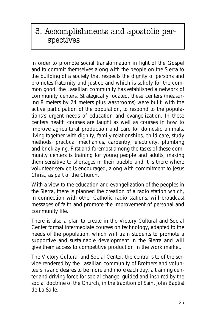## 5. Accomplishments and apostolic perspectives

In order to promote social transformation in light of the Gospel and to commit themselves along with the people on the Sierra to the building of a society that respects the dignity of persons and promotes fraternity and justice and which is solidly for the common good, the Lasallian community has established a network of community centers. Strategically located, these centers (measuring 8 meters by 24 meters plus washrooms) were built, with the active participation of the population, to respond to the populations's urgent needs of education and evangelization. In these centers health courses are taught as well as courses in how to improve agricultural production and care for domestic animals, living together with dignity, family relationships, child care, study methods, practical mechanics, carpentry, electricity, plumbing and bricklaying. First and foremost among the tasks of these community centers is training for young people and adults, making them sensitive to shortages in their pueblo and it is there where volunteer service is encouraged, along with commitment to Jesus Christ, as part of the Church.

With a view to the education and evangelization of the peoples in the Sierra, there is planned the creation of a radio station which, in connection with other Catholic radio stations, will broadcast messages of faith and promote the improvement of personal and community life.

There is also a plan to create in the Victory Cultural and Social Center formal intermediate courses on technology, adapted to the needs of the population, which will train students to promote a supportive and sustainable development in the Sierra and will give them access to competitive production in the work market.

The Victory Cultural and Social Center, the central site of the service rendered by the Lasallian community of Brothers and volunteers, is and desires to be more and more each day, a training center and driving force for social change, guided and inspired by the social doctrine of the Church, in the tradition of Saint John Baptist de La Salle.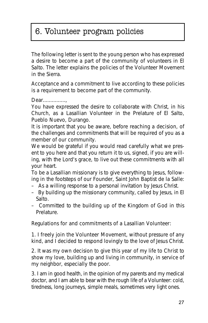# 6. Volunteer program policies

The following letter is sent to the young person who has expressed a desire to become a part of the community of volunteers in El Salto. The letter explains the policies of the Volunteer Movement in the Sierra.

Acceptance and a commitment to live according to these policies is a requirement to become part of the community.

*Dear...............,*

*You have expressed the desire to collaborate with Christ, in his Church, as a Lasallian Volunteer in the Prelature of El Salto, Pueblo Nuevo, Durango.*

*It is important that you be aware, before reaching a decision, of the challenges and commitments that will be required of you as a member of our community.*

*We would be grateful if you would read carefully what we present to you here and that you return it to us, signed, if you are willing, with the Lord's grace, to live out these commitments with all your heart.*

*To be a Lasallian missionary is to give everything to Jesus, following in the footsteps of our Founder, Saint John Baptist de la Salle:*

- *As a willing response to a personal invitation by Jesus Christ.*
- *By building up the missionary community, called by Jesus, in El Salto.*
- *Committed to the building up of the Kingdom of God in this Prelature.*

#### **Regulations for and commitments of a Lasallian Volunteer:**

1. I **freely join the Volunteer Movement**, without pressure of any kind, and I decided to respond lovingly to the love of Jesus Christ.

2. It was my own decision to **give this year of my life to Christ** to show my love, building up and living in community, in service of my neighbor, especially the poor.

3. I am in good health, in the opinion of my parents and my medical doctor, and I am able to bear with the rough life of a Volunteer: cold, tiredness, long journeys, simple meals, sometimes very light ones.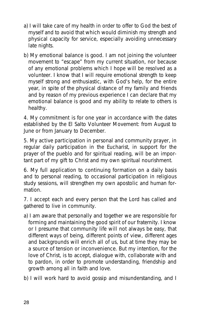- a) I will take care of my health in order to offer to God the best of myself and to avoid that which would diminish my strength and physical capacity for service, especially avoiding unnecessary late nights.
- b) My emotional balance is good. I am not joining the volunteer movement to "escape" from my current situation, nor because of any emotional problems which I hope will be resolved as a volunteer. I know that I will require emotional strength to keep myself strong and enthusiastic, with God's help, for the entire year, in spite of the physical distance of my family and friends and by reason of my previous experience I can declare that my emotional balance is good and my ability to relate to others is healthy.

4. My **commitment** is for one year in accordance with the dates established by the El Salto Volunteer Movement: from August to June or from January to December.

5. My **active participation in personal and community prayer**, in regular daily participation in the Eucharist, in support for the prayer of the pueblo and for spiritual reading, will be an important part of my gift to Christ and my own spiritual nourishment.

6. My full application to **continuing formation** on a daily basis and to personal reading, to occasional participation in religious study sessions, will strengthen my own apostolic and human formation.

7. **I accept each and every person** that the Lord has called and gathered to live in community.

- a) I am aware that personally and together we are responsible for forming and maintaining the good spirit of our fraternity. I know or I presume that community life will not always be easy, that different ways of being, different points of view, different ages and backgrounds will enrich all of us, but at time they may be a source of tension or inconvenience. But my intention, for the love of Christ, is to accept, dialogue with, collaborate with and to pardon, in order to promote understanding, friendship and growth among all in faith and love.
- b) I will work hard to avoid gossip and misunderstanding, and I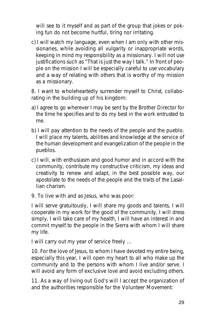will see to it myself and as part of the group that jokes or poking fun do not become hurtful, tiring nor irritating.

c) I will watch my language, even when I am only with other missionaries, while avoiding all vulgarity or inappropriate words, keeping in mind my responsibility as a missionary. I will not use justifications such as "That is just the way I talk." In front of people on the mission I will be especially careful to use vocabulary and a way of relating with others that is worthy of my mission as a missionary.

8. I want to wholeheartedly surrender myself to Christ, collaborating in the **building up of his kingdom**:

- a) I agree to go wherever I may be sent by the Brother Director for the time he specifies and to do my best in the work entrusted to me.
- b) I will pay attention to the needs of the people and the pueblo. I will place my talents, abilities and knowledge at the service of the human development and evangelization of the people in the pueblos.
- c) I will, with enthusiasm and good humor and in accord with the community, contribute my constructive criticism, my ideas and creativity to renew and adapt, in the best possible way, our apostolate to the needs of the people and the traits of the Lasallian charism.
- 9. To **live with and as Jesus**, who was poor:

I will serve gratuitously, I will share my goods and talents, I will cooperate in my work for the good of the community, I will dress simply, I will take care of my health, I will have an interest in and commit myself to the people in the Sierra with whom I will share my life.

I will carry out my year of service freely …

10. For the love of Jesus, to whom I have devoted my entire being, especially this year, **I will open my heart** to all who make up the community and to the persons with whom I live and/or serve. I will avoid any form of exclusive love and avoid excluding others.

11. As a way of **living out God's will** I accept the organization of and the authorities responsible for the Volunteer Movement: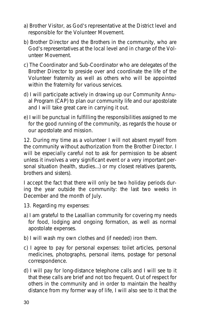- a) Brother Visitor, as God's representative at the District level and responsible for the Volunteer Movement.
- b) Brother Director and the Brothers in the community, who are God's representatives at the local level and in charge of the Volunteer Movement.
- c) The Coordinator and Sub-Coordinator who are delegates of the Brother Director to preside over and coordinate the life of the Volunteer fraternity as well as others who will be appointed within the fraternity for various services.
- d) I will participate actively in drawing up our Community Annual Program (CAP) to plan our community life and our apostolate and I will take great care in carrying it out.
- e) I will be punctual in fulfilling the responsibilities assigned to me for the good running of the community, as regards the house or our apostolate and mission.

12. During **my time as a volunteer** I will not absent myself from the community without authorization from the Brother Director. I will be especially careful not to ask for permission to be absent unless it involves a very significant event or a very important personal situation (health, studies...) or my closest relatives (parents, brothers and sisters).

I accept the fact that there will only be two holiday periods during the year outside the community: the last two weeks in December and the month of July.

- 13. Regarding **my expenses**:
- a) I am grateful to the Lasallian community for covering my needs for food, lodging and ongoing formation, as well as normal apostolate expenses.
- b) I will wash my own clothes and (if needed) iron them.
- c) I agree to pay for personal expenses: toilet articles, personal medicines, photographs, personal items, postage for personal correspondence.
- d) I will pay for long-distance telephone calls and I will see to it that these calls are brief and not too frequent. Out of respect for others in the community and in order to maintain the healthy distance from my former way of life, I will also see to it that the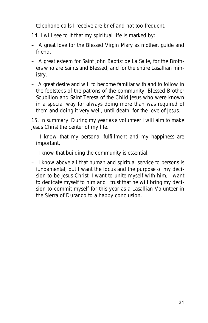telephone calls I receive are brief and not too frequent.

- 14. I will see to it that my **spiritual life** is marked by:
- A great love for the Blessed Virgin Mary as mother, guide and friend.
- A great esteem for Saint John Baptist de La Salle, for the Brothers who are Saints and Blessed, and for the entire Lasallian ministry.
- A great desire and will to become familiar with and to follow in the footsteps of the patrons of the community: Blessed Brother Scubilion and Saint Teresa of the Child Jesus who were known in a special way for always doing more than was required of them and doing it very well, until death, for the love of Jesus.

15. **In summary**: During my year as a volunteer I will aim to make Jesus Christ the center of my life.

- I know that my personal fulfillment and my happiness are important,
- I know that building the community is essential,
- I know above all that human and spiritual service to persons is fundamental, but I want the focus and the purpose of my decision to be Jesus Christ. I want to unite myself with him, I want to dedicate myself to him and I trust that he will bring my decision to commit myself for this year as a Lasallian Volunteer in the Sierra of Durango to a happy conclusion.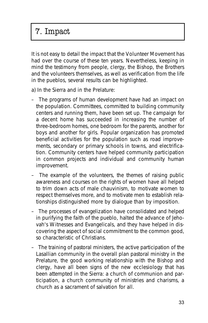# 7. Impact

It is not easy to detail the impact that the Volunteer Movement has had over the course of these ten years. Nevertheless, keeping in mind the testimony from people, clergy, the Bishop, the Brothers and the volunteers themselves, as well as verification from the life in the pueblos, several results can be highlighted.

- a) In the Sierra and in the Prelature:
- The programs of human development have had an impact on the population. Committees, committed to building community centers and running them, have been set up. The campaign for a decent home has succeeded in increasing the number of three-bedroom homes, one bedroom for the parents, another for boys and another for girls. Popular organization has promoted beneficial activities for the population such as road improvements, secondary or primary schools in towns, and electrification. Community centers have helped community participation in common projects and individual and community human improvement.
- The example of the volunteers, the themes of raising public awareness and courses on the rights of women have all helped to trim down acts of male chauvinism, to motivate women to respect themselves more, and to motivate men to establish relationships distinguished more by dialogue than by imposition.
- The processes of evangelization have consolidated and helped in purifying the faith of the pueblo, halted the advance of Jehovah's Witnesses and Evangelicals, and they have helped in discovering the aspect of social commitment to the common good, so characteristic of Christians.
- The training of pastoral ministers, the active participation of the Lasallian community in the overall plan pastoral ministry in the Prelature, the good working relationship with the Bishop and clergy, have all been signs of the new ecclesiology that has been attempted in the Sierra: a church of communion and participation, a church community of ministries and charisms, a church as a sacrament of salvation for all.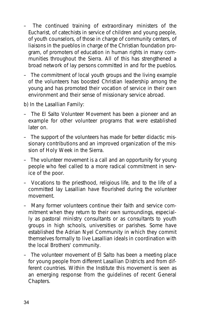- The continued training of extraordinary ministers of the Eucharist, of catechists in service of children and young people, of youth counselors, of those in charge of community centers, of liaisons in the pueblos in charge of the Christian foundation program, of promoters of education in human rights in many communities throughout the Sierra. All of this has strengthened a broad network of lay persons committed in and for the pueblos.
- The commitment of local youth groups and the living example of the volunteers has boosted Christian leadership among the young and has promoted their vocation of service in their own environment and their sense of missionary service abroad.
- b) In the Lasallian Family:
- The El Salto Volunteer Movement has been a pioneer and an example for other volunteer programs that were established later on.
- The support of the volunteers has made for better didactic missionary contributions and an improved organization of the mission of Holy Week in the Sierra.
- The volunteer movement is a call and an opportunity for young people who feel called to a more radical commitment in service of the poor.
- Vocations to the priesthood, religious life, and to the life of a committed lay Lasallian have flourished during the volunteer movement.
- Many former volunteers continue their faith and service commitment when they return to their own surroundings, especially as pastoral ministry consultants or as consultants to youth groups in high schools, universities or parishes. Some have established the Adrian Nyel Community in which they commit themselves formally to live Lasallian ideals in coordination with the local Brothers' community.
- The volunteer movement of El Salto has been a meeting place for young people from different Lasallian Districts and from different countries. Within the Institute this movement is seen as an emerging response from the guidelines of recent General Chapters.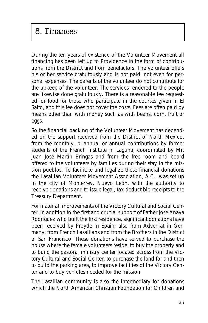### 8. Finances

During the ten years of existence of the Volunteer Movement all financing has been left up to Providence in the form of contributions from the District and from benefactors. The volunteer offers his or her service gratuitously and is not paid, not even for personal expenses. The parents of the volunteer do not contribute for the upkeep of the volunteer. The services rendered to the people are likewise done gratuitously. There is a reasonable fee requested for food for those who participate in the courses given in El Salto, and this fee does not cover the costs. Fees are often paid by means other than with money such as with beans, corn, fruit or eggs.

So the financial backing of the Volunteer Movement has depended on the support received from the District of North Mexico, from the monthly, bi-annual or annual contributions by former students of the French Institute in Laguna, coordinated by Mr. Juan José Martín Bringas and from the free room and board offered to the volunteers by families during their stay in the mission pueblos. To facilitate and legalize these financial donations the Lasallian Volunteer Movement Association, A.C., was set up in the city of Monterrey, Nuevo León, with the authority to receive donations and to issue legal, tax-deductible receipts to the Treasury Department.

For material improvements of the Victory Cultural and Social Center, in addition to the first and crucial support of Father José Anaya Rodríguez who built the first residence, significant donations have been received by Proyde in Spain; also from Adveniat in Germany; from French Lasallians and from the Brothers in the District of San Francisco. These donations have served to purchase the house where the female volunteers reside, to buy the property and to build the pastoral ministry center located across from the Victory Cultural and Social Center, to purchase the land for and then to build the parking area, to improve facilities of the Victory Center and to buy vehicles needed for the mission.

The Lasallian community is also the intermediary for donations which the North American Christian Foundation for Children and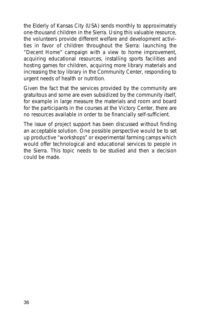the Elderly of Kansas City (USA) sends monthly to approximately one-thousand children in the Sierra. Using this valuable resource, the volunteers provide different welfare and development activities in favor of children throughout the Sierra: launching the "Decent Home" campaign with a view to home improvement, acquiring educational resources, installing sports facilities and hosting games for children, acquiring more library materials and increasing the toy library in the Community Center, responding to urgent needs of health or nutrition.

Given the fact that the services provided by the community are gratuitous and some are even subsidized by the community itself, for example in large measure the materials and room and board for the participants in the courses at the Victory Center, there are no resources available in order to be financially self-sufficient.

The issue of project support has been discussed without finding an acceptable solution. One possible perspective would be to set up productive "workshops" or experimental farming camps which would offer technological and educational services to people in the Sierra. This topic needs to be studied and then a decision could be made.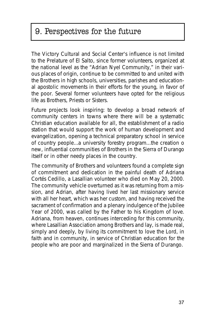# 9. Perspectives for the future

The Victory Cultural and Social Center's influence is not limited to the Prelature of El Salto, since former volunteers, organized at the national level as the "Adrian Nyel Community," in their various places of origin, continue to be committed to and united with the Brothers in high schools, universities, parishes and educational apostolic movements in their efforts for the young, in favor of the poor. Several former volunteers have opted for the religious life as Brothers, Priests or Sisters.

Future projects look inspiring: to develop a broad network of community centers in towns where there will be a systematic Christian education available for all, the establishment of a radio station that would support the work of human development and evangelization, opening a technical preparatory school in service of country people...a university forestry program...the creation o new, influential communities of Brothers in the Sierra of Durango itself or in other needy places in the country.

The community of Brothers and volunteers found a complete sign of commitment and dedication in the painful death of Adriana Cortés Cedillo, a Lasallian volunteer who died on May 20, 2000. The community vehicle overturned as it was returning from a mission, and Adrian, after having lived her last missionary service with all her heart, which was her custom, and having received the sacrament of confirmation and a plenary indulgence of the Jubilee Year of 2000, was called by the Father to his Kingdom of love. Adriana, from heaven, continues interceding for this community, where Lasallian Association among Brothers and lay, is made real, simply and deeply, by living its commitment to love the Lord, in faith and in community, in service of Christian education for the people who are poor and marginalized in the Sierra of Durango.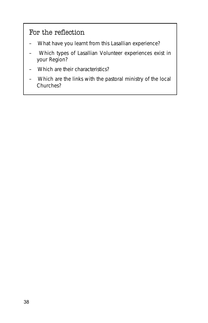### For the reflection

- What have you learnt from this Lasallian experience?
- Which types of Lasallian Volunteer experiences exist in your Region?
- Which are their characteristics?
- Which are the links with the pastoral ministry of the local Churches?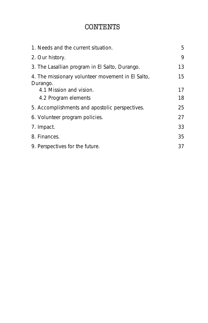### **CONTENTS**

| 1. Needs and the current situation.                           | 5  |
|---------------------------------------------------------------|----|
| 2. Our history.                                               | 9  |
| 3. The Lasallian program in El Salto, Durango.                | 13 |
| 4. The missionary volunteer movement in El Salto,<br>Durango. | 15 |
| 4.1 Mission and vision.                                       | 17 |
| 4.2 Program elements                                          | 18 |
| 5. Accomplishments and apostolic perspectives.                | 25 |
| 6. Volunteer program policies.                                | 27 |
| 7. Impact.                                                    | 33 |
| 8. Finances.                                                  | 35 |
| 9. Perspectives for the future.                               | 37 |